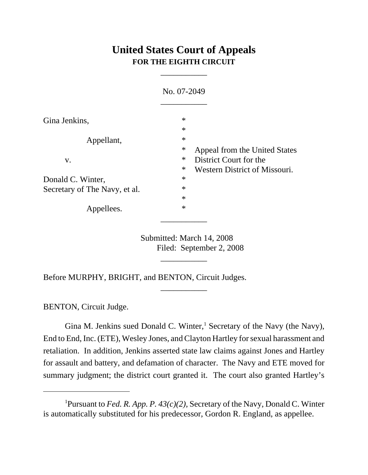# **United States Court of Appeals FOR THE EIGHTH CIRCUIT**

\_\_\_\_\_\_\_\_\_\_\_

|                               | No. 07-2049                                                                 |                               |
|-------------------------------|-----------------------------------------------------------------------------|-------------------------------|
| Gina Jenkins,                 | $\ast$<br>$\ast$                                                            |                               |
| Appellant,                    | $\ast$<br>$\ast$                                                            | Appeal from the United States |
| V.                            | $\ast$<br>District Court for the<br>$\ast$<br>Western District of Missouri. |                               |
| Donald C. Winter,             | $\ast$                                                                      |                               |
| Secretary of The Navy, et al. | $\ast$                                                                      |                               |
|                               | $\ast$                                                                      |                               |
| Appellees.                    | $\ast$                                                                      |                               |

Submitted: March 14, 2008 Filed: September 2, 2008

\_\_\_\_\_\_\_\_\_\_\_

\_\_\_\_\_\_\_\_\_\_\_

Before MURPHY, BRIGHT, and BENTON, Circuit Judges.

BENTON, Circuit Judge.

Gina M. Jenkins sued Donald C. Winter,<sup>1</sup> Secretary of the Navy (the Navy), End to End, Inc. (ETE), Wesley Jones, and Clayton Hartley for sexual harassment and retaliation. In addition, Jenkins asserted state law claims against Jones and Hartley for assault and battery, and defamation of character. The Navy and ETE moved for summary judgment; the district court granted it. The court also granted Hartley's

<sup>1</sup> Pursuant to *Fed. R. App. P. 43(c)(2)*, Secretary of the Navy, Donald C. Winter is automatically substituted for his predecessor, Gordon R. England, as appellee.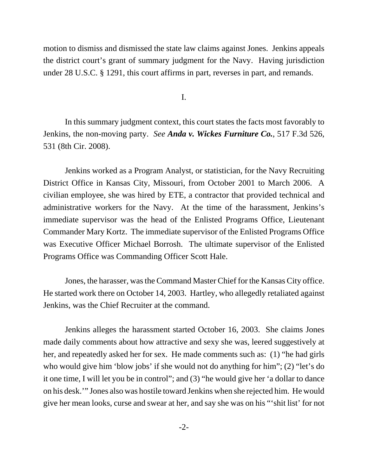motion to dismiss and dismissed the state law claims against Jones. Jenkins appeals the district court's grant of summary judgment for the Navy. Having jurisdiction under 28 U.S.C. § 1291, this court affirms in part, reverses in part, and remands.

I.

In this summary judgment context, this court states the facts most favorably to Jenkins, the non-moving party. *See Anda v. Wickes Furniture Co.*, 517 F.3d 526, 531 (8th Cir. 2008).

Jenkins worked as a Program Analyst, or statistician, for the Navy Recruiting District Office in Kansas City, Missouri, from October 2001 to March 2006. A civilian employee, she was hired by ETE, a contractor that provided technical and administrative workers for the Navy. At the time of the harassment, Jenkins's immediate supervisor was the head of the Enlisted Programs Office, Lieutenant Commander Mary Kortz. The immediate supervisor of the Enlisted Programs Office was Executive Officer Michael Borrosh. The ultimate supervisor of the Enlisted Programs Office was Commanding Officer Scott Hale.

Jones, the harasser, was the Command Master Chief for the Kansas City office. He started work there on October 14, 2003. Hartley, who allegedly retaliated against Jenkins, was the Chief Recruiter at the command.

Jenkins alleges the harassment started October 16, 2003. She claims Jones made daily comments about how attractive and sexy she was, leered suggestively at her, and repeatedly asked her for sex. He made comments such as: (1) "he had girls who would give him 'blow jobs' if she would not do anything for him"; (2) "let's do it one time, I will let you be in control"; and (3) "he would give her 'a dollar to dance on his desk.'" Jones also was hostile toward Jenkins when she rejected him. He would give her mean looks, curse and swear at her, and say she was on his "'shit list' for not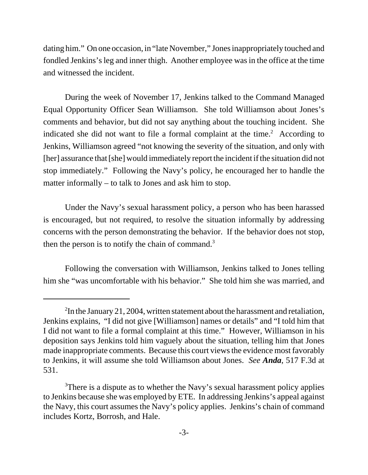dating him." On one occasion, in "late November," Jones inappropriately touched and fondled Jenkins's leg and inner thigh. Another employee was in the office at the time and witnessed the incident.

During the week of November 17, Jenkins talked to the Command Managed Equal Opportunity Officer Sean Williamson. She told Williamson about Jones's comments and behavior, but did not say anything about the touching incident. She indicated she did not want to file a formal complaint at the time.<sup>2</sup> According to Jenkins, Williamson agreed "not knowing the severity of the situation, and only with [her] assurance that [she] would immediately report the incident if the situation did not stop immediately." Following the Navy's policy, he encouraged her to handle the matter informally – to talk to Jones and ask him to stop.

Under the Navy's sexual harassment policy, a person who has been harassed is encouraged, but not required, to resolve the situation informally by addressing concerns with the person demonstrating the behavior. If the behavior does not stop, then the person is to notify the chain of command.<sup>3</sup>

Following the conversation with Williamson, Jenkins talked to Jones telling him she "was uncomfortable with his behavior." She told him she was married, and

 $2^2$ In the January 21, 2004, written statement about the harassment and retaliation, Jenkins explains, "I did not give [Williamson] names or details" and "I told him that I did not want to file a formal complaint at this time." However, Williamson in his deposition says Jenkins told him vaguely about the situation, telling him that Jones made inappropriate comments. Because this court views the evidence most favorably to Jenkins, it will assume she told Williamson about Jones. *See Anda*, 517 F.3d at 531.

<sup>&</sup>lt;sup>3</sup>There is a dispute as to whether the Navy's sexual harassment policy applies to Jenkins because she was employed by ETE. In addressing Jenkins's appeal against the Navy, this court assumes the Navy's policy applies. Jenkins's chain of command includes Kortz, Borrosh, and Hale.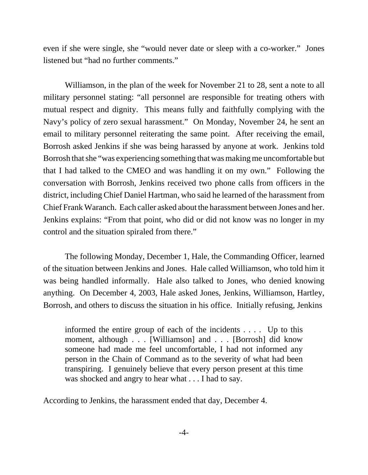even if she were single, she "would never date or sleep with a co-worker." Jones listened but "had no further comments."

Williamson, in the plan of the week for November 21 to 28, sent a note to all military personnel stating: "all personnel are responsible for treating others with mutual respect and dignity. This means fully and faithfully complying with the Navy's policy of zero sexual harassment." On Monday, November 24, he sent an email to military personnel reiterating the same point. After receiving the email, Borrosh asked Jenkins if she was being harassed by anyone at work. Jenkins told Borrosh that she "was experiencing something that was making me uncomfortable but that I had talked to the CMEO and was handling it on my own." Following the conversation with Borrosh, Jenkins received two phone calls from officers in the district, including Chief Daniel Hartman, who said he learned of the harassment from Chief Frank Waranch. Each caller asked about the harassment between Jones and her. Jenkins explains: "From that point, who did or did not know was no longer in my control and the situation spiraled from there."

The following Monday, December 1, Hale, the Commanding Officer, learned of the situation between Jenkins and Jones. Hale called Williamson, who told him it was being handled informally. Hale also talked to Jones, who denied knowing anything. On December 4, 2003, Hale asked Jones, Jenkins, Williamson, Hartley, Borrosh, and others to discuss the situation in his office. Initially refusing, Jenkins

informed the entire group of each of the incidents . . . . Up to this moment, although . . . [Williamson] and . . . [Borrosh] did know someone had made me feel uncomfortable, I had not informed any person in the Chain of Command as to the severity of what had been transpiring. I genuinely believe that every person present at this time was shocked and angry to hear what . . . I had to say.

According to Jenkins, the harassment ended that day, December 4.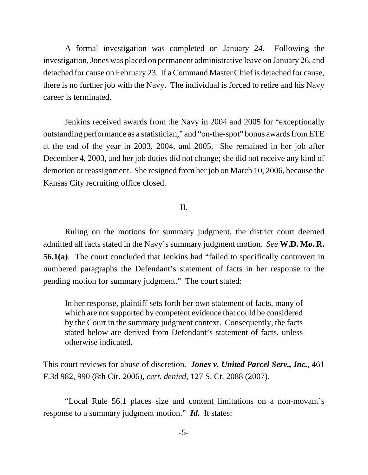A formal investigation was completed on January 24. Following the investigation, Jones was placed on permanent administrative leave on January 26, and detached for cause on February 23. If a Command Master Chief is detached for cause, there is no further job with the Navy. The individual is forced to retire and his Navy career is terminated.

Jenkins received awards from the Navy in 2004 and 2005 for "exceptionally outstanding performance as a statistician," and "on-the-spot" bonus awards from ETE at the end of the year in 2003, 2004, and 2005. She remained in her job after December 4, 2003, and her job duties did not change; she did not receive any kind of demotion or reassignment. She resigned from her job on March 10, 2006, because the Kansas City recruiting office closed.

### II.

Ruling on the motions for summary judgment, the district court deemed admitted all facts stated in the Navy's summary judgment motion. *See* **W.D. Mo. R. 56.1(a)**. The court concluded that Jenkins had "failed to specifically controvert in numbered paragraphs the Defendant's statement of facts in her response to the pending motion for summary judgment." The court stated:

In her response, plaintiff sets forth her own statement of facts, many of which are not supported by competent evidence that could be considered by the Court in the summary judgment context. Consequently, the facts stated below are derived from Defendant's statement of facts, unless otherwise indicated.

This court reviews for abuse of discretion. *Jones v. United Parcel Serv., Inc.*, 461 F.3d 982, 990 (8th Cir. 2006), *cert. denied*, 127 S. Ct. 2088 (2007).

"Local Rule 56.1 places size and content limitations on a non-movant's response to a summary judgment motion." *Id.* It states: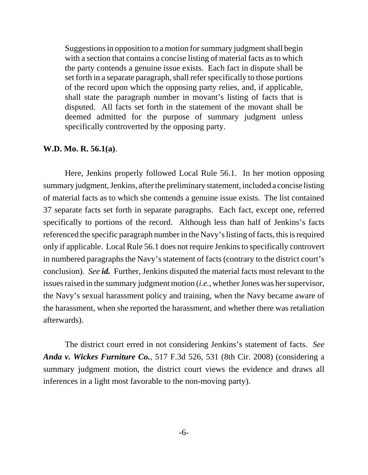Suggestions in opposition to a motion for summary judgment shall begin with a section that contains a concise listing of material facts as to which the party contends a genuine issue exists. Each fact in dispute shall be set forth in a separate paragraph, shall refer specifically to those portions of the record upon which the opposing party relies, and, if applicable, shall state the paragraph number in movant's listing of facts that is disputed. All facts set forth in the statement of the movant shall be deemed admitted for the purpose of summary judgment unless specifically controverted by the opposing party.

#### **W.D. Mo. R. 56.1(a)**.

Here, Jenkins properly followed Local Rule 56.1. In her motion opposing summary judgment, Jenkins, after the preliminary statement, included a concise listing of material facts as to which she contends a genuine issue exists. The list contained 37 separate facts set forth in separate paragraphs. Each fact, except one, referred specifically to portions of the record. Although less than half of Jenkins's facts referenced the specific paragraph number in the Navy's listing of facts, this is required only if applicable. Local Rule 56.1 does not require Jenkins to specifically controvert in numbered paragraphs the Navy's statement of facts (contrary to the district court's conclusion). *See id.* Further, Jenkins disputed the material facts most relevant to the issues raised in the summary judgment motion (*i.e.*, whether Jones was her supervisor, the Navy's sexual harassment policy and training, when the Navy became aware of the harassment, when she reported the harassment, and whether there was retaliation afterwards).

The district court erred in not considering Jenkins's statement of facts. *See Anda v. Wickes Furniture Co.*, 517 F.3d 526, 531 (8th Cir. 2008) (considering a summary judgment motion, the district court views the evidence and draws all inferences in a light most favorable to the non-moving party).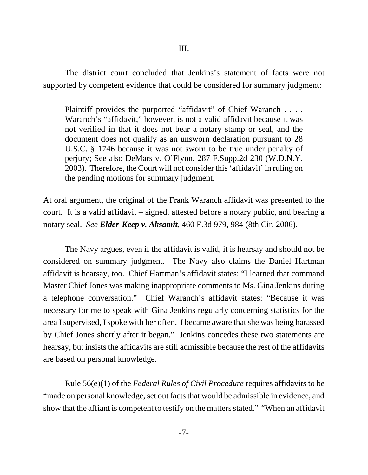The district court concluded that Jenkins's statement of facts were not supported by competent evidence that could be considered for summary judgment:

Plaintiff provides the purported "affidavit" of Chief Waranch . . . . Waranch's "affidavit," however, is not a valid affidavit because it was not verified in that it does not bear a notary stamp or seal, and the document does not qualify as an unsworn declaration pursuant to 28 U.S.C. § 1746 because it was not sworn to be true under penalty of perjury; See also DeMars v. O'Flynn, 287 F.Supp.2d 230 (W.D.N.Y. 2003). Therefore, the Court will not consider this 'affidavit' in ruling on the pending motions for summary judgment.

At oral argument, the original of the Frank Waranch affidavit was presented to the court. It is a valid affidavit – signed, attested before a notary public, and bearing a notary seal. *See Elder-Keep v. Aksamit*, 460 F.3d 979, 984 (8th Cir. 2006).

The Navy argues, even if the affidavit is valid, it is hearsay and should not be considered on summary judgment. The Navy also claims the Daniel Hartman affidavit is hearsay, too. Chief Hartman's affidavit states: "I learned that command Master Chief Jones was making inappropriate comments to Ms. Gina Jenkins during a telephone conversation." Chief Waranch's affidavit states: "Because it was necessary for me to speak with Gina Jenkins regularly concerning statistics for the area I supervised, I spoke with her often. I became aware that she was being harassed by Chief Jones shortly after it began." Jenkins concedes these two statements are hearsay, but insists the affidavits are still admissible because the rest of the affidavits are based on personal knowledge.

Rule 56(e)(1) of the *Federal Rules of Civil Procedure* requires affidavits to be "made on personal knowledge, set out facts that would be admissible in evidence, and show that the affiant is competent to testify on the matters stated." "When an affidavit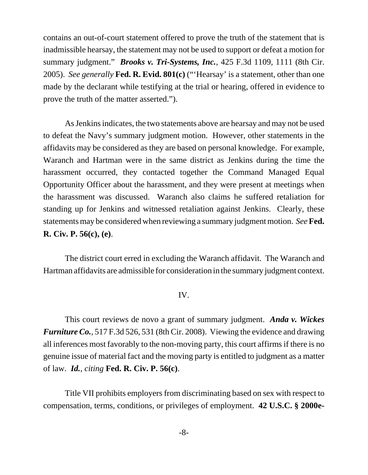contains an out-of-court statement offered to prove the truth of the statement that is inadmissible hearsay, the statement may not be used to support or defeat a motion for summary judgment." *Brooks v. Tri-Systems, Inc.*, 425 F.3d 1109, 1111 (8th Cir. 2005). *See generally* **Fed. R. Evid. 801(c)** ("'Hearsay' is a statement, other than one made by the declarant while testifying at the trial or hearing, offered in evidence to prove the truth of the matter asserted.").

As Jenkins indicates, the two statements above are hearsay and may not be used to defeat the Navy's summary judgment motion. However, other statements in the affidavits may be considered as they are based on personal knowledge. For example, Waranch and Hartman were in the same district as Jenkins during the time the harassment occurred, they contacted together the Command Managed Equal Opportunity Officer about the harassment, and they were present at meetings when the harassment was discussed. Waranch also claims he suffered retaliation for standing up for Jenkins and witnessed retaliation against Jenkins. Clearly, these statements may be considered when reviewing a summary judgment motion. *See***Fed. R. Civ. P. 56(c), (e)**.

The district court erred in excluding the Waranch affidavit. The Waranch and Hartman affidavits are admissible for consideration in the summary judgment context.

#### IV.

This court reviews de novo a grant of summary judgment. *Anda v. Wickes Furniture Co.*, 517 F.3d 526, 531 (8th Cir. 2008). Viewing the evidence and drawing all inferences most favorably to the non-moving party, this court affirms if there is no genuine issue of material fact and the moving party is entitled to judgment as a matter of law. *Id.*, *citing* **Fed. R. Civ. P. 56(c)**.

Title VII prohibits employers from discriminating based on sex with respect to compensation, terms, conditions, or privileges of employment. **42 U.S.C. § 2000e-**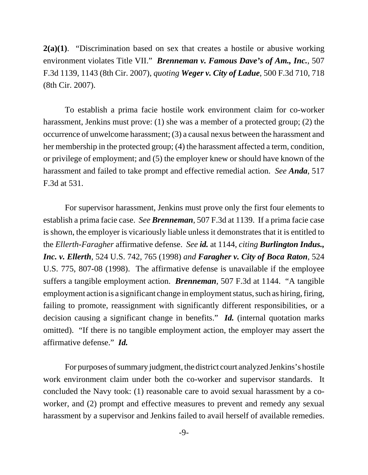**2(a)(1)**. "Discrimination based on sex that creates a hostile or abusive working environment violates Title VII." *Brenneman v. Famous Dave's of Am., Inc.*, 507 F.3d 1139, 1143 (8th Cir. 2007), *quoting Weger v. City of Ladue*, 500 F.3d 710, 718 (8th Cir. 2007).

To establish a prima facie hostile work environment claim for co-worker harassment, Jenkins must prove: (1) she was a member of a protected group; (2) the occurrence of unwelcome harassment; (3) a causal nexus between the harassment and her membership in the protected group; (4) the harassment affected a term, condition, or privilege of employment; and (5) the employer knew or should have known of the harassment and failed to take prompt and effective remedial action. *See Anda*, 517 F.3d at 531.

For supervisor harassment, Jenkins must prove only the first four elements to establish a prima facie case. *See Brenneman*, 507 F.3d at 1139. If a prima facie case is shown, the employer is vicariously liable unless it demonstrates that it is entitled to the *Ellerth-Faragher* affirmative defense. *See id.* at 1144, *citing Burlington Indus., Inc. v. Ellerth*, 524 U.S. 742, 765 (1998) *and Faragher v. City of Boca Raton*, 524 U.S. 775, 807-08 (1998). The affirmative defense is unavailable if the employee suffers a tangible employment action. *Brenneman*, 507 F.3d at 1144. "A tangible employment action is a significant change in employment status, such as hiring, firing, failing to promote, reassignment with significantly different responsibilities, or a decision causing a significant change in benefits." *Id.* (internal quotation marks omitted). "If there is no tangible employment action, the employer may assert the affirmative defense." *Id.* 

For purposes of summary judgment, the district court analyzed Jenkins's hostile work environment claim under both the co-worker and supervisor standards. It concluded the Navy took: (1) reasonable care to avoid sexual harassment by a coworker, and (2) prompt and effective measures to prevent and remedy any sexual harassment by a supervisor and Jenkins failed to avail herself of available remedies.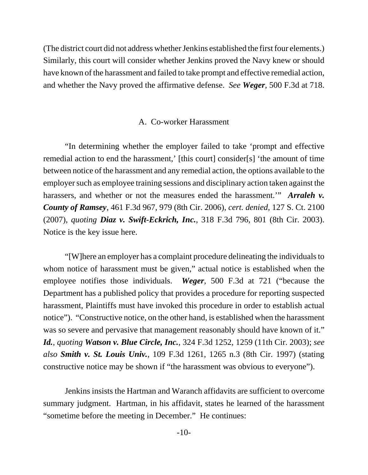(The district court did not address whether Jenkins established the first four elements.) Similarly, this court will consider whether Jenkins proved the Navy knew or should have known of the harassment and failed to take prompt and effective remedial action, and whether the Navy proved the affirmative defense. *See Weger*, 500 F.3d at 718.

#### A. Co-worker Harassment

"In determining whether the employer failed to take 'prompt and effective remedial action to end the harassment,' [this court] consider[s] 'the amount of time between notice of the harassment and any remedial action, the options available to the employer such as employee training sessions and disciplinary action taken against the harassers, and whether or not the measures ended the harassment.'" *Arraleh v. County of Ramsey*, 461 F.3d 967, 979 (8th Cir. 2006), *cert. denied*, 127 S. Ct. 2100 (2007), *quoting Diaz v. Swift-Eckrich, Inc.*, 318 F.3d 796, 801 (8th Cir. 2003). Notice is the key issue here.

"[W]here an employer has a complaint procedure delineating the individuals to whom notice of harassment must be given," actual notice is established when the employee notifies those individuals. *Weger*, 500 F.3d at 721 ("because the Department has a published policy that provides a procedure for reporting suspected harassment, Plaintiffs must have invoked this procedure in order to establish actual notice"). "Constructive notice, on the other hand, is established when the harassment was so severe and pervasive that management reasonably should have known of it." *Id.*, *quoting Watson v. Blue Circle, Inc.*, 324 F.3d 1252, 1259 (11th Cir. 2003); *see also Smith v. St. Louis Univ.*, 109 F.3d 1261, 1265 n.3 (8th Cir. 1997) (stating constructive notice may be shown if "the harassment was obvious to everyone").

Jenkins insists the Hartman and Waranch affidavits are sufficient to overcome summary judgment. Hartman, in his affidavit, states he learned of the harassment "sometime before the meeting in December." He continues: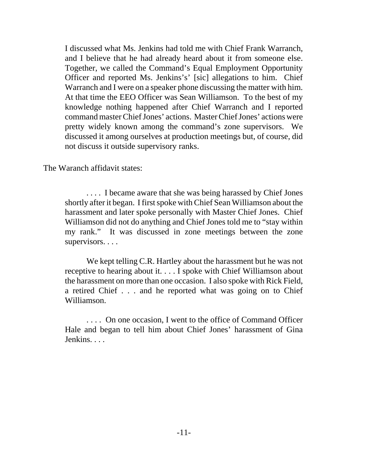I discussed what Ms. Jenkins had told me with Chief Frank Warranch, and I believe that he had already heard about it from someone else. Together, we called the Command's Equal Employment Opportunity Officer and reported Ms. Jenkins's' [sic] allegations to him. Chief Warranch and I were on a speaker phone discussing the matter with him. At that time the EEO Officer was Sean Williamson. To the best of my knowledge nothing happened after Chief Warranch and I reported command master Chief Jones' actions. Master Chief Jones' actions were pretty widely known among the command's zone supervisors. We discussed it among ourselves at production meetings but, of course, did not discuss it outside supervisory ranks.

The Waranch affidavit states:

. . . . I became aware that she was being harassed by Chief Jones shortly after it began. I first spoke with Chief Sean Williamson about the harassment and later spoke personally with Master Chief Jones. Chief Williamson did not do anything and Chief Jones told me to "stay within my rank." It was discussed in zone meetings between the zone supervisors. . . .

We kept telling C.R. Hartley about the harassment but he was not receptive to hearing about it. . . . I spoke with Chief Williamson about the harassment on more than one occasion. I also spoke with Rick Field, a retired Chief . . . and he reported what was going on to Chief Williamson.

. . . . On one occasion, I went to the office of Command Officer Hale and began to tell him about Chief Jones' harassment of Gina Jenkins. . . .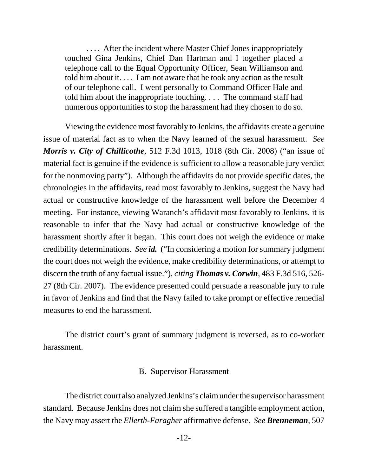.... After the incident where Master Chief Jones inappropriately touched Gina Jenkins, Chief Dan Hartman and I together placed a telephone call to the Equal Opportunity Officer, Sean Williamson and told him about it. . . . I am not aware that he took any action as the result of our telephone call. I went personally to Command Officer Hale and told him about the inappropriate touching. . . . The command staff had numerous opportunities to stop the harassment had they chosen to do so.

Viewing the evidence most favorably to Jenkins, the affidavits create a genuine issue of material fact as to when the Navy learned of the sexual harassment. *See Morris v. City of Chillicothe*, 512 F.3d 1013, 1018 (8th Cir. 2008) ("an issue of material fact is genuine if the evidence is sufficient to allow a reasonable jury verdict for the nonmoving party"). Although the affidavits do not provide specific dates, the chronologies in the affidavits, read most favorably to Jenkins, suggest the Navy had actual or constructive knowledge of the harassment well before the December 4 meeting. For instance, viewing Waranch's affidavit most favorably to Jenkins, it is reasonable to infer that the Navy had actual or constructive knowledge of the harassment shortly after it began. This court does not weigh the evidence or make credibility determinations. *See id.* ("In considering a motion for summary judgment the court does not weigh the evidence, make credibility determinations, or attempt to discern the truth of any factual issue."), *citing Thomas v. Corwin*, 483 F.3d 516, 526- 27 (8th Cir. 2007). The evidence presented could persuade a reasonable jury to rule in favor of Jenkins and find that the Navy failed to take prompt or effective remedial measures to end the harassment.

The district court's grant of summary judgment is reversed, as to co-worker harassment.

#### B. Supervisor Harassment

The district court also analyzed Jenkins's claim under the supervisor harassment standard. Because Jenkins does not claim she suffered a tangible employment action, the Navy may assert the *Ellerth-Faragher* affirmative defense. *See Brenneman*, 507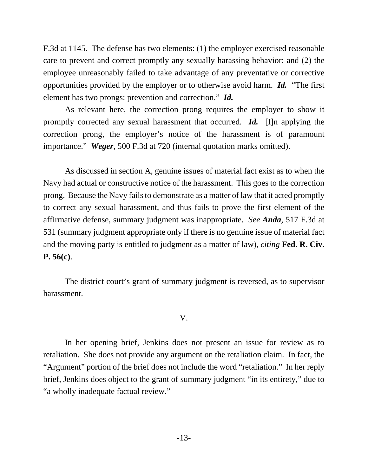F.3d at 1145. The defense has two elements: (1) the employer exercised reasonable care to prevent and correct promptly any sexually harassing behavior; and (2) the employee unreasonably failed to take advantage of any preventative or corrective opportunities provided by the employer or to otherwise avoid harm. *Id.* "The first element has two prongs: prevention and correction." *Id.* 

As relevant here, the correction prong requires the employer to show it promptly corrected any sexual harassment that occurred. *Id.* [I]n applying the correction prong, the employer's notice of the harassment is of paramount importance." *Weger*, 500 F.3d at 720 (internal quotation marks omitted).

As discussed in section A, genuine issues of material fact exist as to when the Navy had actual or constructive notice of the harassment. This goes to the correction prong. Because the Navy fails to demonstrate as a matter of law that it acted promptly to correct any sexual harassment, and thus fails to prove the first element of the affirmative defense, summary judgment was inappropriate. *See Anda*, 517 F.3d at 531 (summary judgment appropriate only if there is no genuine issue of material fact and the moving party is entitled to judgment as a matter of law), *citing* **Fed. R. Civ. P. 56(c)**.

The district court's grant of summary judgment is reversed, as to supervisor harassment.

V.

In her opening brief, Jenkins does not present an issue for review as to retaliation. She does not provide any argument on the retaliation claim. In fact, the "Argument" portion of the brief does not include the word "retaliation." In her reply brief, Jenkins does object to the grant of summary judgment "in its entirety," due to "a wholly inadequate factual review."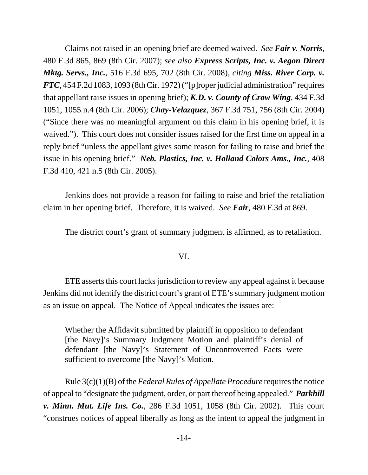Claims not raised in an opening brief are deemed waived. *See Fair v. Norris*, 480 F.3d 865, 869 (8th Cir. 2007); *see also Express Scripts, Inc. v. Aegon Direct Mktg. Servs., Inc.*, 516 F.3d 695, 702 (8th Cir. 2008), *citing Miss. River Corp. v. FTC*, 454 F.2d 1083, 1093 (8th Cir. 1972) ("[p]roper judicial administration" requires that appellant raise issues in opening brief); *K.D. v. County of Crow Wing*, 434 F.3d 1051, 1055 n.4 (8th Cir. 2006); *Chay-Velazquez*, 367 F.3d 751, 756 (8th Cir. 2004) ("Since there was no meaningful argument on this claim in his opening brief, it is waived."). This court does not consider issues raised for the first time on appeal in a reply brief "unless the appellant gives some reason for failing to raise and brief the issue in his opening brief." *Neb. Plastics, Inc. v. Holland Colors Ams., Inc.*, 408 F.3d 410, 421 n.5 (8th Cir. 2005).

Jenkins does not provide a reason for failing to raise and brief the retaliation claim in her opening brief. Therefore, it is waived. *See Fair*, 480 F.3d at 869.

The district court's grant of summary judgment is affirmed, as to retaliation.

#### VI.

ETE asserts this court lacks jurisdiction to review any appeal against it because Jenkins did not identify the district court's grant of ETE's summary judgment motion as an issue on appeal. The Notice of Appeal indicates the issues are:

Whether the Affidavit submitted by plaintiff in opposition to defendant [the Navy]'s Summary Judgment Motion and plaintiff's denial of defendant [the Navy]'s Statement of Uncontroverted Facts were sufficient to overcome [the Navy]'s Motion.

Rule 3(c)(1)(B) of the *Federal Rules of Appellate Procedure* requires the notice of appeal to "designate the judgment, order, or part thereof being appealed." *Parkhill v. Minn. Mut. Life Ins. Co.*, 286 F.3d 1051, 1058 (8th Cir. 2002). This court "construes notices of appeal liberally as long as the intent to appeal the judgment in